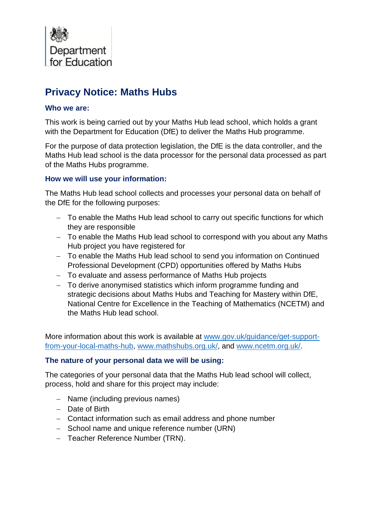

# **Privacy Notice: Maths Hubs**

#### **Who we are:**

This work is being carried out by your Maths Hub lead school, which holds a grant with the Department for Education (DfE) to deliver the Maths Hub programme.

For the purpose of data protection legislation, the DfE is the data controller, and the Maths Hub lead school is the data processor for the personal data processed as part of the Maths Hubs programme.

# **How we will use your information:**

The Maths Hub lead school collects and processes your personal data on behalf of the DfE for the following purposes:

- − To enable the Maths Hub lead school to carry out specific functions for which they are responsible
- − To enable the Maths Hub lead school to correspond with you about any Maths Hub project you have registered for
- − To enable the Maths Hub lead school to send you information on Continued Professional Development (CPD) opportunities offered by Maths Hubs
- − To evaluate and assess performance of Maths Hub projects
- − To derive anonymised statistics which inform programme funding and strategic decisions about Maths Hubs and Teaching for Mastery within DfE, National Centre for Excellence in the Teaching of Mathematics (NCETM) and the Maths Hub lead school.

More information about this work is available at [www.gov.uk/guidance/get-support](http://www.gov.uk/guidance/get-support-from-your-local-maths-hub)[from-your-local-maths-hub,](http://www.gov.uk/guidance/get-support-from-your-local-maths-hub) [www.mathshubs.org.uk/,](http://www.mathshubs.org.uk/) and [www.ncetm.org.uk/.](http://www.ncetm.org.uk/)

#### **The nature of your personal data we will be using:**

The categories of your personal data that the Maths Hub lead school will collect, process, hold and share for this project may include:

- − Name (including previous names)
- − Date of Birth
- − Contact information such as email address and phone number
- − School name and unique reference number (URN)
- − Teacher Reference Number (TRN).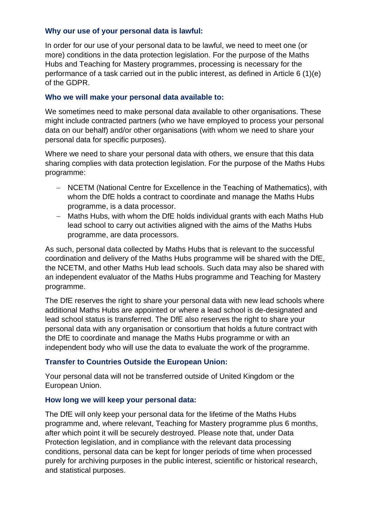#### **Why our use of your personal data is lawful:**

In order for our use of your personal data to be lawful, we need to meet one (or more) conditions in the data protection legislation. For the purpose of the Maths Hubs and Teaching for Mastery programmes, processing is necessary for the performance of a task carried out in the public interest, as defined in Article 6 (1)(e) of the GDPR.

#### **Who we will make your personal data available to:**

We sometimes need to make personal data available to other organisations. These might include contracted partners (who we have employed to process your personal data on our behalf) and/or other organisations (with whom we need to share your personal data for specific purposes).

Where we need to share your personal data with others, we ensure that this data sharing complies with data protection legislation. For the purpose of the Maths Hubs programme:

- − NCETM (National Centre for Excellence in the Teaching of Mathematics), with whom the DfE holds a contract to coordinate and manage the Maths Hubs programme, is a data processor.
- − Maths Hubs, with whom the DfE holds individual grants with each Maths Hub lead school to carry out activities aligned with the aims of the Maths Hubs programme, are data processors.

As such, personal data collected by Maths Hubs that is relevant to the successful coordination and delivery of the Maths Hubs programme will be shared with the DfE, the NCETM, and other Maths Hub lead schools. Such data may also be shared with an independent evaluator of the Maths Hubs programme and Teaching for Mastery programme.

The DfE reserves the right to share your personal data with new lead schools where additional Maths Hubs are appointed or where a lead school is de-designated and lead school status is transferred. The DfE also reserves the right to share your personal data with any organisation or consortium that holds a future contract with the DfE to coordinate and manage the Maths Hubs programme or with an independent body who will use the data to evaluate the work of the programme.

#### **Transfer to Countries Outside the European Union:**

Your personal data will not be transferred outside of United Kingdom or the European Union.

#### **How long we will keep your personal data:**

The DfE will only keep your personal data for the lifetime of the Maths Hubs programme and, where relevant, Teaching for Mastery programme plus 6 months, after which point it will be securely destroyed. Please note that, under Data Protection legislation, and in compliance with the relevant data processing conditions, personal data can be kept for longer periods of time when processed purely for archiving purposes in the public interest, scientific or historical research, and statistical purposes.